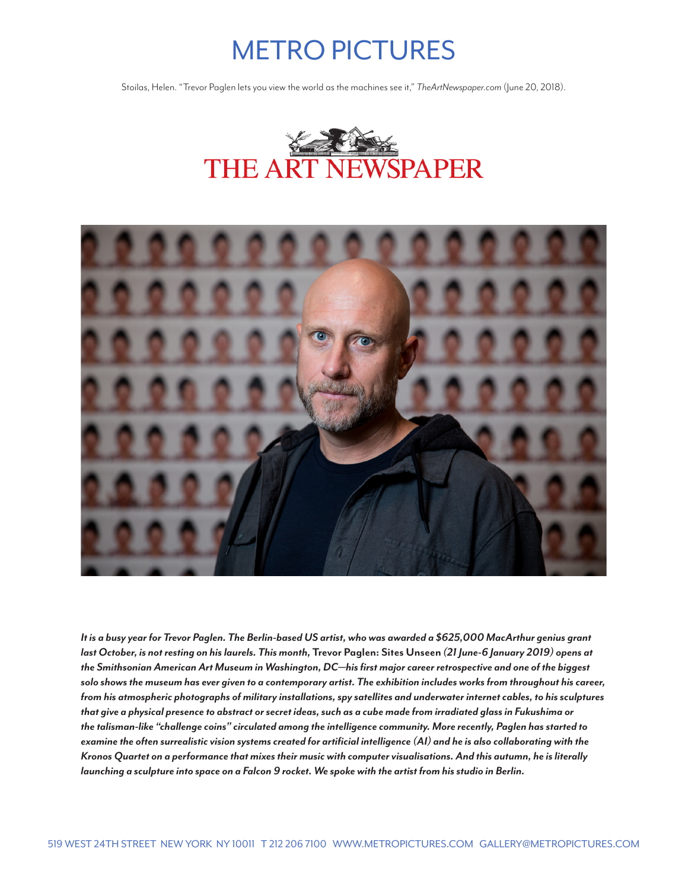# METRO PICTURES

Stoilas, Helen. "Trevor Paglen lets you view the world as the machines see it," *TheArtNewspaper.com* (June 20, 2018).





*It is a busy year for Trevor Paglen. The Berlin-based US artist, who was awarded a \$625,000 MacArthur genius grant last October, is not resting on his laurels. This month,* **Trevor Paglen: Sites Unseen** *(21 June-6 January 2019) opens at the Smithsonian American Art Museum in Washington, DC—his first major career retrospective and one of the biggest solo shows the museum has ever given to a contemporary artist. The exhibition includes works from throughout his career, from his atmospheric photographs of military installations, spy satellites and underwater internet cables, to his sculptures that give a physical presence to abstract or secret ideas, such as a cube made from irradiated glass in Fukushima or the talisman-like "challenge coins" circulated among the intelligence community. More recently, Paglen has started to examine the often surrealistic vision systems created for artificial intelligence (AI) and he is also collaborating with the Kronos Quartet on a performance that mixes their music with computer visualisations. And this autumn, he is literally launching a sculpture into space on a Falcon 9 rocket. We spoke with the artist from his studio in Berlin.*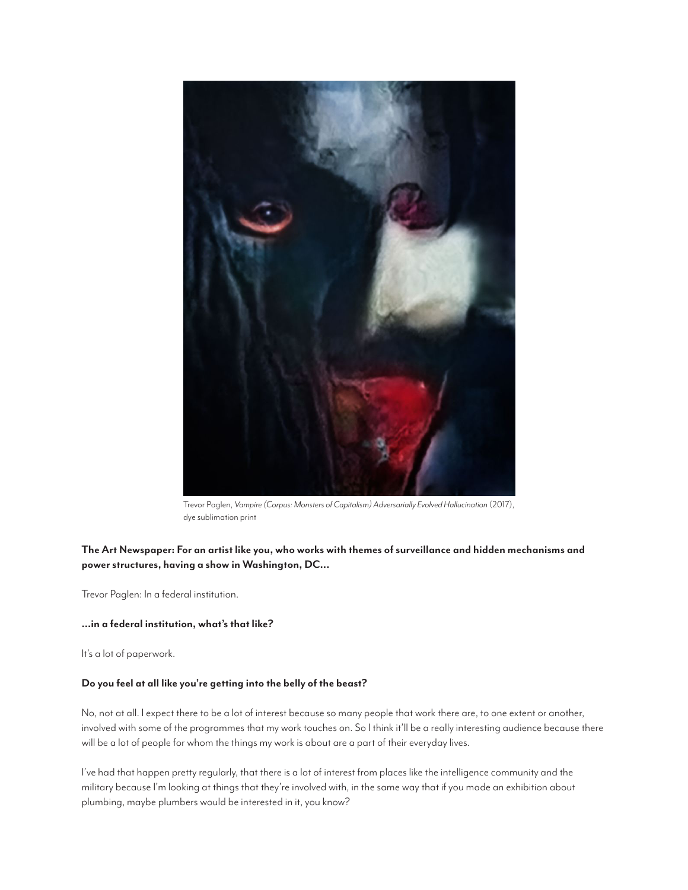

Trevor Paglen, *Vampire (Corpus: Monsters of Capitalism) Adversarially Evolved Hallucination* (2017), dye sublimation print

# **The Art Newspaper: For an artist like you, who works with themes of surveillance and hidden mechanisms and power structures, having a show in Washington, DC...**

Trevor Paglen: In a federal institution.

# **...in a federal institution, what's that like?**

It's a lot of paperwork.

## **Do you feel at all like you're getting into the belly of the beast?**

No, not at all. I expect there to be a lot of interest because so many people that work there are, to one extent or another, involved with some of the programmes that my work touches on. So I think it'll be a really interesting audience because there will be a lot of people for whom the things my work is about are a part of their everyday lives.

I've had that happen pretty regularly, that there is a lot of interest from places like the intelligence community and the military because I'm looking at things that they're involved with, in the same way that if you made an exhibition about plumbing, maybe plumbers would be interested in it, you know?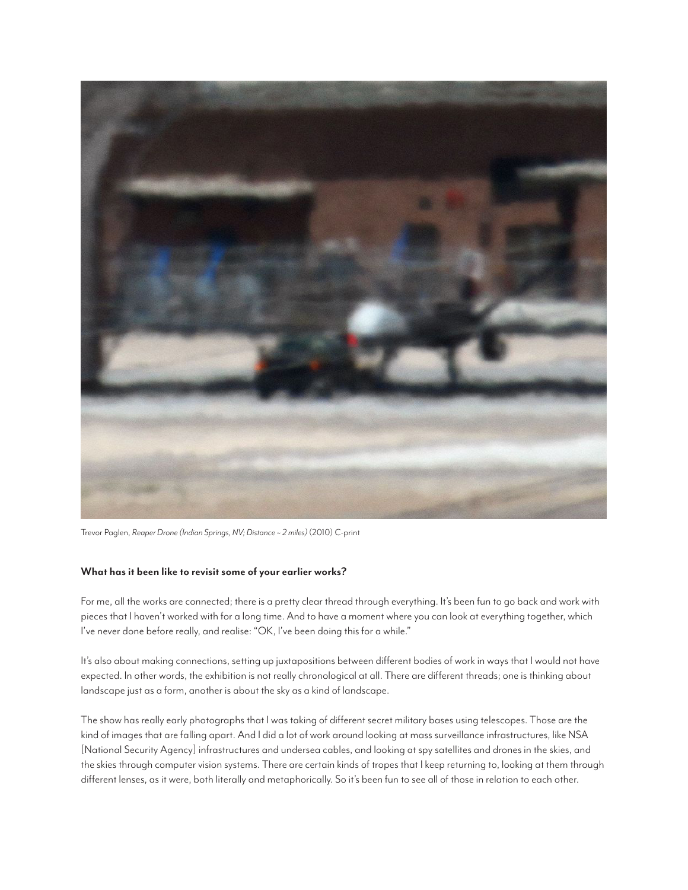

Trevor Paglen, *Reaper Drone (Indian Springs, NV; Distance ~ 2 miles)* (2010) C-print

## **What has it been like to revisit some of your earlier works?**

For me, all the works are connected; there is a pretty clear thread through everything. It's been fun to go back and work with pieces that I haven't worked with for a long time. And to have a moment where you can look at everything together, which I've never done before really, and realise: "OK, I've been doing this for a while."

It's also about making connections, setting up juxtapositions between different bodies of work in ways that I would not have expected. In other words, the exhibition is not really chronological at all. There are different threads; one is thinking about landscape just as a form, another is about the sky as a kind of landscape.

The show has really early photographs that I was taking of different secret military bases using telescopes. Those are the kind of images that are falling apart. And I did a lot of work around looking at mass surveillance infrastructures, like NSA [National Security Agency] infrastructures and undersea cables, and looking at spy satellites and drones in the skies, and the skies through computer vision systems. There are certain kinds of tropes that I keep returning to, looking at them through different lenses, as it were, both literally and metaphorically. So it's been fun to see all of those in relation to each other.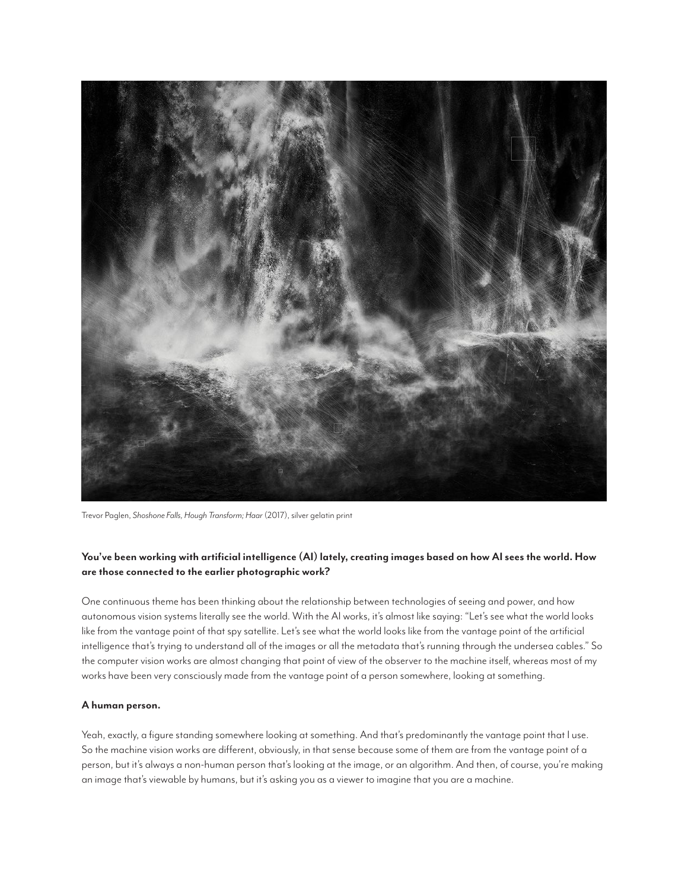

Trevor Paglen, *Shoshone Falls, Hough Transform; Haar* (2017), silver gelatin print

# **You've been working with artificial intelligence (AI) lately, creating images based on how AI sees the world. How are those connected to the earlier photographic work?**

One continuous theme has been thinking about the relationship between technologies of seeing and power, and how autonomous vision systems literally see the world. With the AI works, it's almost like saying: "Let's see what the world looks like from the vantage point of that spy satellite. Let's see what the world looks like from the vantage point of the artificial intelligence that's trying to understand all of the images or all the metadata that's running through the undersea cables." So the computer vision works are almost changing that point of view of the observer to the machine itself, whereas most of my works have been very consciously made from the vantage point of a person somewhere, looking at something.

# **A human person.**

Yeah, exactly, a figure standing somewhere looking at something. And that's predominantly the vantage point that I use. So the machine vision works are different, obviously, in that sense because some of them are from the vantage point of a person, but it's always a non-human person that's looking at the image, or an algorithm. And then, of course, you're making an image that's viewable by humans, but it's asking you as a viewer to imagine that you are a machine.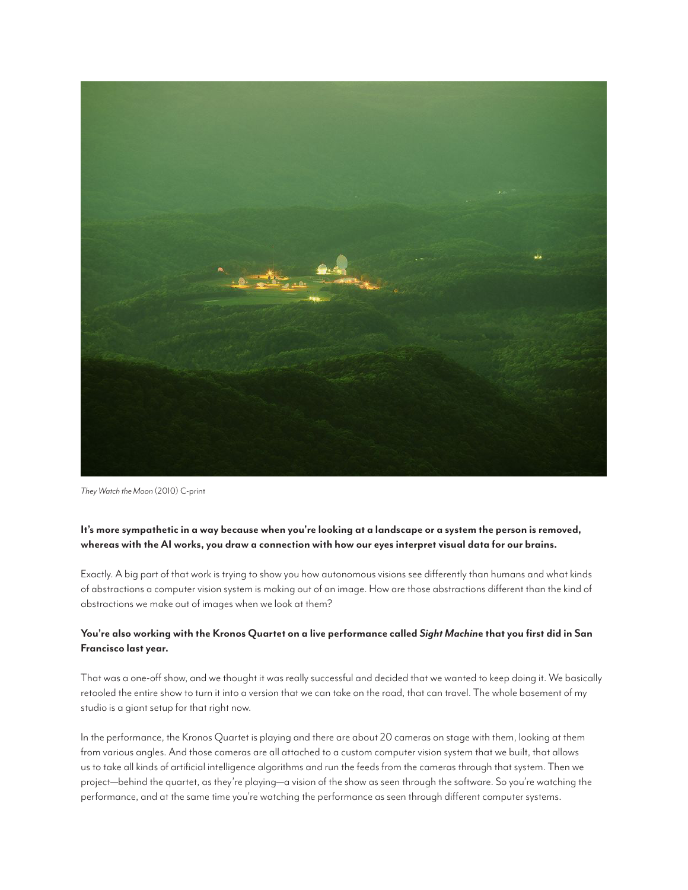

*They Watch the Moon* (2010) C-print

# **It's more sympathetic in a way because when you're looking at a landscape or a system the person is removed, whereas with the AI works, you draw a connection with how our eyes interpret visual data for our brains.**

Exactly. A big part of that work is trying to show you how autonomous visions see differently than humans and what kinds of abstractions a computer vision system is making out of an image. How are those abstractions different than the kind of abstractions we make out of images when we look at them?

# **You're also working with the Kronos Quartet on a live performance called** *Sight Machin***e that you first did in San Francisco last year.**

That was a one-off show, and we thought it was really successful and decided that we wanted to keep doing it. We basically retooled the entire show to turn it into a version that we can take on the road, that can travel. The whole basement of my studio is a giant setup for that right now.

In the performance, the Kronos Quartet is playing and there are about 20 cameras on stage with them, looking at them from various angles. And those cameras are all attached to a custom computer vision system that we built, that allows us to take all kinds of artificial intelligence algorithms and run the feeds from the cameras through that system. Then we project—behind the quartet, as they're playing—a vision of the show as seen through the software. So you're watching the performance, and at the same time you're watching the performance as seen through different computer systems.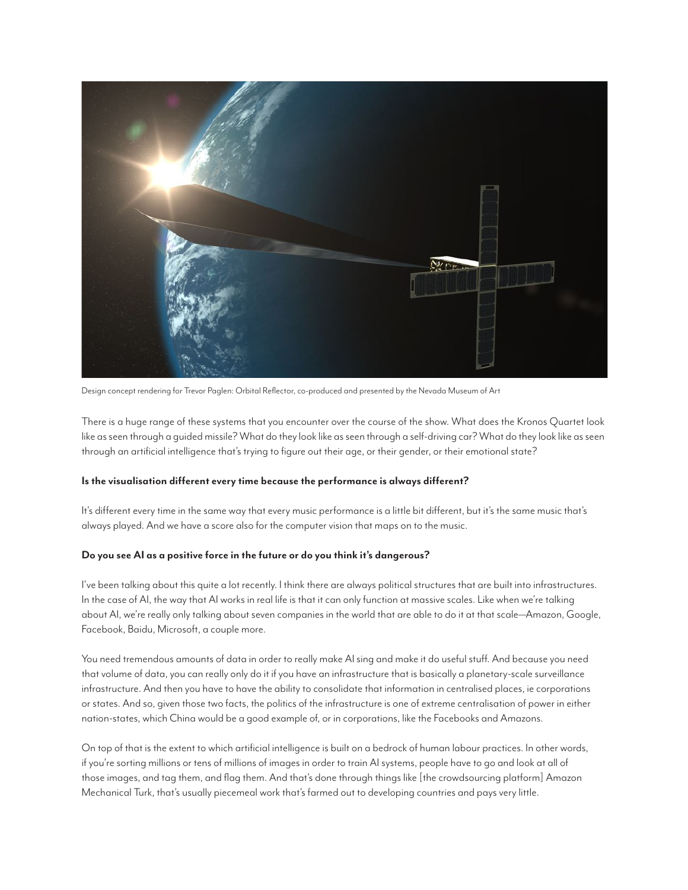

Design concept rendering for Trevor Paglen: Orbital Reflector, co-produced and presented by the Nevada Museum of Art

There is a huge range of these systems that you encounter over the course of the show. What does the Kronos Quartet look like as seen through a guided missile? What do they look like as seen through a self-driving car? What do they look like as seen through an artificial intelligence that's trying to figure out their age, or their gender, or their emotional state?

## **Is the visualisation different every time because the performance is always different?**

It's different every time in the same way that every music performance is a little bit different, but it's the same music that's always played. And we have a score also for the computer vision that maps on to the music.

## **Do you see AI as a positive force in the future or do you think it's dangerous?**

I've been talking about this quite a lot recently. I think there are always political structures that are built into infrastructures. In the case of AI, the way that AI works in real life is that it can only function at massive scales. Like when we're talking about AI, we're really only talking about seven companies in the world that are able to do it at that scale—Amazon, Google, Facebook, Baidu, Microsoft, a couple more.

You need tremendous amounts of data in order to really make AI sing and make it do useful stuff. And because you need that volume of data, you can really only do it if you have an infrastructure that is basically a planetary-scale surveillance infrastructure. And then you have to have the ability to consolidate that information in centralised places, ie corporations or states. And so, given those two facts, the politics of the infrastructure is one of extreme centralisation of power in either nation-states, which China would be a good example of, or in corporations, like the Facebooks and Amazons.

On top of that is the extent to which artificial intelligence is built on a bedrock of human labour practices. In other words, if you're sorting millions or tens of millions of images in order to train AI systems, people have to go and look at all of those images, and tag them, and flag them. And that's done through things like [the crowdsourcing platform] Amazon Mechanical Turk, that's usually piecemeal work that's farmed out to developing countries and pays very little.